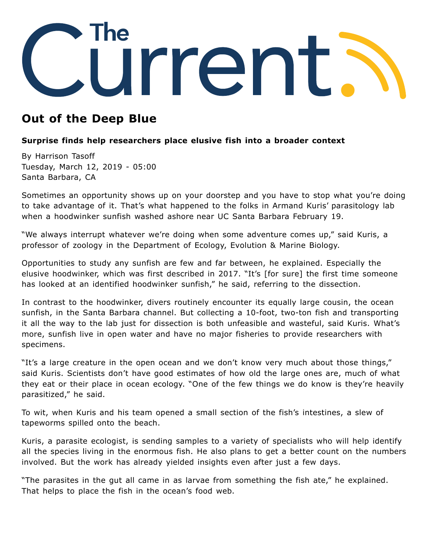

## **Out of the Deep Blue**

## **Surprise finds help researchers place elusive fish into a broader context**

By Harrison Tasoff Tuesday, March 12, 2019 - 05:00 Santa Barbara, CA

Sometimes an opportunity shows up on your doorstep and you have to stop what you're doing to take advantage of it. That's what happened to the folks in [Armand Kuris'](https://www.eemb.ucsb.edu/people/faculty/kuris) parasitology lab when a hoodwinker sunfish [washed ashore](https://www.news.ucsb.edu/2019/019361/hoodwinked) near UC Santa Barbara February 19.

"We always interrupt whatever we're doing when some adventure comes up," said Kuris, a professor of zoology in the Department of Ecology, Evolution & Marine Biology.

Opportunities to study any sunfish are few and far between, he explained. Especially the elusive hoodwinker, which was first described in 2017. "It's [for sure] the first time someone has looked at an identified hoodwinker sunfish," he said, referring to the dissection.

In contrast to the hoodwinker, divers routinely encounter its equally large cousin, the ocean sunfish, in the Santa Barbara channel. But collecting a 10-foot, two-ton fish and transporting it all the way to the lab just for dissection is both unfeasible and wasteful, said Kuris. What's more, sunfish live in open water and have no major fisheries to provide researchers with specimens.

"It's a large creature in the open ocean and we don't know very much about those things," said Kuris. Scientists don't have good estimates of how old the large ones are, much of what they eat or their place in ocean ecology. "One of the few things we do know is they're heavily parasitized," he said.

To wit, when Kuris and his team opened a small section of the fish's intestines, a slew of tapeworms spilled onto the beach.

Kuris, a parasite ecologist, is sending samples to a variety of specialists who will help identify all the species living in the enormous fish. He also plans to get a better count on the numbers involved. But the work has already yielded insights even after just a few days.

"The parasites in the gut all came in as larvae from something the fish ate," he explained. That helps to place the fish in the ocean's food web.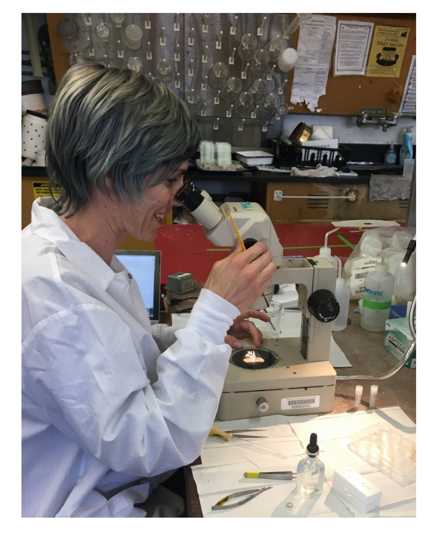